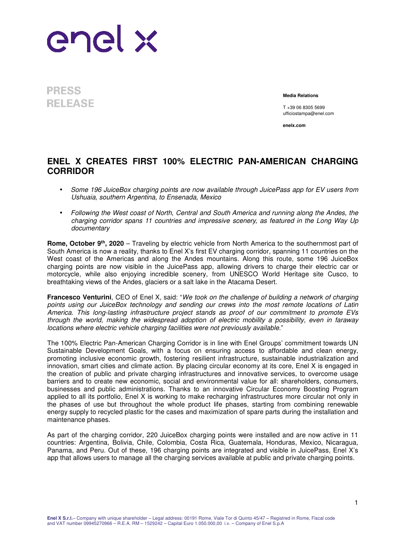

**PRESS RELEASE** 

**Media Relations**

T +39 06 8305 5699 ufficiostampa@enel.com

**enelx.com**

## **ENEL X CREATES FIRST 100% ELECTRIC PAN-AMERICAN CHARGING CORRIDOR**

- Some 196 JuiceBox charging points are now available through JuicePass app for EV users from Ushuaia, southern Argentina, to Ensenada, Mexico
- Following the West coast of North, Central and South America and running along the Andes, the charging corridor spans 11 countries and impressive scenery, as featured in the Long Way Up documentary

**Rome, October 9th, 2020** – Traveling by electric vehicle from North America to the southernmost part of South America is now a reality, thanks to Enel X's first EV charging corridor, spanning 11 countries on the West coast of the Americas and along the Andes mountains. Along this route, some 196 JuiceBox charging points are now visible in the JuicePass app, allowing drivers to charge their electric car or motorcycle, while also enjoying incredible scenery, from UNESCO World Heritage site Cusco, to breathtaking views of the Andes, glaciers or a salt lake in the Atacama Desert.

**Francesco Venturini**, CEO of Enel X, said: "We took on the challenge of building a network of charging points using our JuiceBox technology and sending our crews into the most remote locations of Latin America. This long-lasting infrastructure project stands as proof of our commitment to promote EVs through the world, making the widespread adoption of electric mobility a possibility, even in faraway locations where electric vehicle charging facilities were not previously available."

The 100% Electric Pan-American Charging Corridor is in line with Enel Groups' commitment towards UN Sustainable Development Goals, with a focus on ensuring access to affordable and clean energy, promoting inclusive economic growth, fostering resilient infrastructure, sustainable industrialization and innovation, smart cities and climate action. By placing circular economy at its core, Enel X is engaged in the creation of public and private charging infrastructures and innovative services, to overcome usage barriers and to create new economic, social and environmental value for all: shareholders, consumers, businesses and public administrations. Thanks to an innovative Circular Economy Boosting Program applied to all its portfolio, Enel X is working to make recharging infrastructures more circular not only in the phases of use but throughout the whole product life phases, starting from combining renewable energy supply to recycled plastic for the cases and maximization of spare parts during the installation and maintenance phases.

As part of the charging corridor, 220 JuiceBox charging points were installed and are now active in 11 countries: Argentina, Bolivia, Chile, Colombia, Costa Rica, Guatemala, Honduras, Mexico, Nicaragua, Panama, and Peru. Out of these, 196 charging points are integrated and visible in JuicePass, Enel X's app that allows users to manage all the charging services available at public and private charging points.